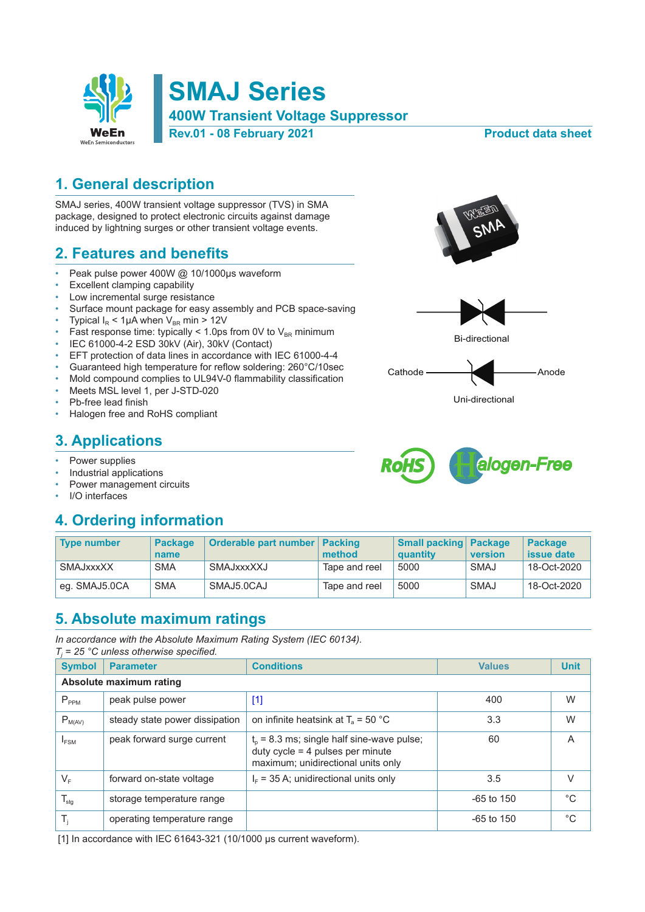

## **1. General description**

SMAJ series, 400W transient voltage suppressor (TVS) in SMA package, designed to protect electronic circuits against damage induced by lightning surges or other transient voltage events.

### **2. Features and benefits**

- Peak pulse power 400W @ 10/1000μs waveform
- Excellent clamping capability
- Low incremental surge resistance
- Surface mount package for easy assembly and PCB space-saving
- Typical  $I_R$  < 1µA when  $V_{BR}$  min > 12V
- Fast response time: typically < 1.0ps from 0V to  $V_{BR}$  minimum
- IEC 61000-4-2 ESD 30kV (Air), 30kV (Contact)
- EFT protection of data lines in accordance with IEC 61000-4-4
- Guaranteed high temperature for reflow soldering: 260°C/10sec
- Mold compound complies to UL94V-0 flammability classification
- Meets MSL level 1, per J-STD-020
- Pb-free lead finish
- Halogen free and RoHS compliant

## **3. Applications**

- Power supplies
- Industrial applications
- Power management circuits
- I/O interfaces

# **4. Ordering information**

| Tvpe number   | <b>Package</b><br>name | Orderable part number   Packing | method        | <b>Small packing Package</b><br>quantity | version     | <b>Package</b><br><b>issue date</b> |
|---------------|------------------------|---------------------------------|---------------|------------------------------------------|-------------|-------------------------------------|
| SMAJxxxXX     | <b>SMA</b>             | SMAJxxxXXJ                      | Tape and reel | 5000                                     | SMAJ        | 18-Oct-2020                         |
| eq. SMAJ5.0CA | <b>SMA</b>             | SMAJ5.0CAJ                      | Tape and reel | 5000                                     | <b>SMAJ</b> | 18-Oct-2020                         |

### **5. Absolute maximum ratings**

*In accordance with the Absolute Maximum Rating System (IEC 60134).*

| $T_i$ = 25 °C unless otherwise specified. |                                |                                                                                                                         |               |             |  |  |  |
|-------------------------------------------|--------------------------------|-------------------------------------------------------------------------------------------------------------------------|---------------|-------------|--|--|--|
| <b>Symbol</b>                             | <b>Parameter</b>               | <b>Conditions</b>                                                                                                       | <b>Values</b> | <b>Unit</b> |  |  |  |
| Absolute maximum rating                   |                                |                                                                                                                         |               |             |  |  |  |
| $P_{PPM}$                                 | peak pulse power               | $[1]$                                                                                                                   | 400           | W           |  |  |  |
| $P_{M(AV)}$                               | steady state power dissipation | on infinite heatsink at $T_a = 50 °C$                                                                                   | 3.3           | W           |  |  |  |
| $I_{FSM}$                                 | peak forward surge current     | $to$ = 8.3 ms; single half sine-wave pulse;<br>duty cycle $=$ 4 pulses per minute<br>maximum; unidirectional units only | 60            | A           |  |  |  |
| $V_F$                                     | forward on-state voltage       | $IF$ = 35 A; unidirectional units only                                                                                  | 3.5           | $\vee$      |  |  |  |
| $T_{\text{stg}}$                          | storage temperature range      |                                                                                                                         | $-65$ to 150  | $^{\circ}C$ |  |  |  |
| $T_{j}$                                   | operating temperature range    |                                                                                                                         | $-65$ to 150  | $^{\circ}C$ |  |  |  |

[1] In accordance with IEC 61643-321 (10/1000 μs current waveform).









Uni-directional

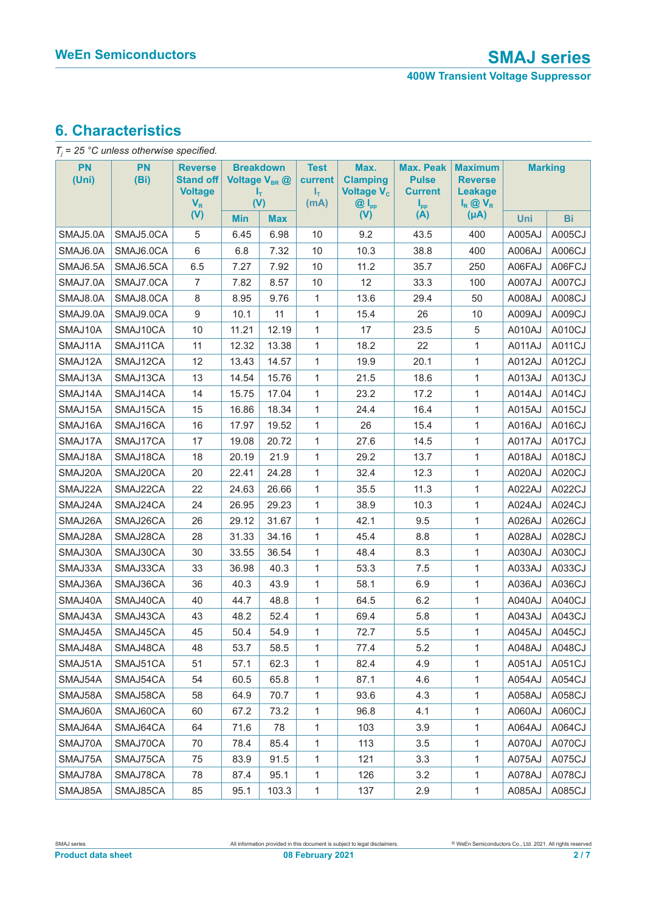# **6. Characteristics**

| $T_i$ = 25 °C unless otherwise specified. |            |                                                               |                                                            |            |                                               |                                                                       |                                                                       |                                                                  |                |        |
|-------------------------------------------|------------|---------------------------------------------------------------|------------------------------------------------------------|------------|-----------------------------------------------|-----------------------------------------------------------------------|-----------------------------------------------------------------------|------------------------------------------------------------------|----------------|--------|
| PN<br>(Uni)                               | PN<br>(Bi) | <b>Reverse</b><br><b>Stand off</b><br><b>Voltage</b><br>$V_R$ | <b>Breakdown</b><br>Voltage V <sub>BR</sub> @<br>Т,<br>(V) |            | <b>Test</b><br>current<br>$I_{\rm T}$<br>(mA) | Max.<br><b>Clamping</b><br>Voltage V <sub>c</sub><br>$@I_{\text{pp}}$ | <b>Max. Peak</b><br><b>Pulse</b><br><b>Current</b><br>$I_{\text{pp}}$ | <b>Maximum</b><br><b>Reverse</b><br>Leakage<br>$I_R \otimes V_R$ | <b>Marking</b> |        |
|                                           |            | (V)                                                           | <b>Min</b>                                                 | <b>Max</b> |                                               | (V)                                                                   | (A)                                                                   | $(\mu A)$                                                        | Uni            | Bi     |
| SMAJ5.0A                                  | SMAJ5.0CA  | 5                                                             | 6.45                                                       | 6.98       | 10                                            | 9.2                                                                   | 43.5                                                                  | 400                                                              | A005AJ         | A005CJ |
| SMAJ6.0A                                  | SMAJ6.0CA  | 6                                                             | 6.8                                                        | 7.32       | 10                                            | 10.3                                                                  | 38.8                                                                  | 400                                                              | A006AJ         | A006CJ |
| SMAJ6.5A                                  | SMAJ6.5CA  | 6.5                                                           | 7.27                                                       | 7.92       | 10                                            | 11.2                                                                  | 35.7                                                                  | 250                                                              | A06FAJ         | A06FCJ |
| SMAJ7.0A                                  | SMAJ7.0CA  | $\overline{7}$                                                | 7.82                                                       | 8.57       | 10                                            | 12                                                                    | 33.3                                                                  | 100                                                              | A007AJ         | A007CJ |
| SMAJ8.0A                                  | SMAJ8.0CA  | 8                                                             | 8.95                                                       | 9.76       | 1                                             | 13.6                                                                  | 29.4                                                                  | 50                                                               | A008AJ         | A008CJ |
| SMAJ9.0A                                  | SMAJ9.0CA  | 9                                                             | 10.1                                                       | 11         | 1                                             | 15.4                                                                  | 26                                                                    | 10                                                               | A009AJ         | A009CJ |
| SMAJ10A                                   | SMAJ10CA   | 10                                                            | 11.21                                                      | 12.19      | 1                                             | 17                                                                    | 23.5                                                                  | 5                                                                | A010AJ         | A010CJ |
| SMAJ11A                                   | SMAJ11CA   | 11                                                            | 12.32                                                      | 13.38      | 1                                             | 18.2                                                                  | 22                                                                    | 1                                                                | A011AJ         | A011CJ |
| SMAJ12A                                   | SMAJ12CA   | 12                                                            | 13.43                                                      | 14.57      | 1                                             | 19.9                                                                  | 20.1                                                                  | $\mathbf{1}$                                                     | A012AJ         | A012CJ |
| SMAJ13A                                   | SMAJ13CA   | 13                                                            | 14.54                                                      | 15.76      | 1                                             | 21.5                                                                  | 18.6                                                                  | 1                                                                | A013AJ         | A013CJ |
| SMAJ14A                                   | SMAJ14CA   | 14                                                            | 15.75                                                      | 17.04      | 1                                             | 23.2                                                                  | 17.2                                                                  | 1                                                                | A014AJ         | A014CJ |
| SMAJ15A                                   | SMAJ15CA   | 15                                                            | 16.86                                                      | 18.34      | 1                                             | 24.4                                                                  | 16.4                                                                  | 1                                                                | A015AJ         | A015CJ |
| SMAJ16A                                   | SMAJ16CA   | 16                                                            | 17.97                                                      | 19.52      | 1                                             | 26                                                                    | 15.4                                                                  | 1                                                                | A016AJ         | A016CJ |
| SMAJ17A                                   | SMAJ17CA   | 17                                                            | 19.08                                                      | 20.72      | 1                                             | 27.6                                                                  | 14.5                                                                  | 1                                                                | A017AJ         | A017CJ |
| SMAJ18A                                   | SMAJ18CA   | 18                                                            | 20.19                                                      | 21.9       | 1                                             | 29.2                                                                  | 13.7                                                                  | 1                                                                | A018AJ         | A018CJ |
| SMAJ20A                                   | SMAJ20CA   | 20                                                            | 22.41                                                      | 24.28      | 1                                             | 32.4                                                                  | 12.3                                                                  | $\mathbf{1}$                                                     | A020AJ         | A020CJ |
| SMAJ22A                                   | SMAJ22CA   | 22                                                            | 24.63                                                      | 26.66      | 1                                             | 35.5                                                                  | 11.3                                                                  | 1                                                                | A022AJ         | A022CJ |
| SMAJ24A                                   | SMAJ24CA   | 24                                                            | 26.95                                                      | 29.23      | 1                                             | 38.9                                                                  | 10.3                                                                  | $\mathbf{1}$                                                     | A024AJ         | A024CJ |
| SMAJ26A                                   | SMAJ26CA   | 26                                                            | 29.12                                                      | 31.67      | 1                                             | 42.1                                                                  | 9.5                                                                   | 1                                                                | A026AJ         | A026CJ |
| SMAJ28A                                   | SMAJ28CA   | 28                                                            | 31.33                                                      | 34.16      | 1                                             | 45.4                                                                  | 8.8                                                                   | 1                                                                | A028AJ         | A028CJ |
| SMAJ30A                                   | SMAJ30CA   | 30                                                            | 33.55                                                      | 36.54      | 1                                             | 48.4                                                                  | 8.3                                                                   | 1                                                                | A030AJ         | A030CJ |
| SMAJ33A                                   | SMAJ33CA   | 33                                                            | 36.98                                                      | 40.3       | 1                                             | 53.3                                                                  | 7.5                                                                   | 1                                                                | A033AJ         | A033CJ |
| SMAJ36A                                   | SMAJ36CA   | 36                                                            | 40.3                                                       | 43.9       | 1                                             | 58.1                                                                  | 6.9                                                                   | 1                                                                | A036AJ         | A036CJ |
| SMAJ40A                                   | SMAJ40CA   | 40                                                            | 44.7                                                       | 48.8       | 1                                             | 64.5                                                                  | 6.2                                                                   | 1                                                                | A040AJ         | A040CJ |
| SMAJ43A                                   | SMAJ43CA   | 43                                                            | 48.2                                                       | 52.4       | 1                                             | 69.4                                                                  | 5.8                                                                   | $\mathbf{1}$                                                     | A043AJ         | A043CJ |
| SMAJ45A                                   | SMAJ45CA   | 45                                                            | 50.4                                                       | 54.9       | 1                                             | 72.7                                                                  | $5.5\,$                                                               | $\mathbf{1}$                                                     | A045AJ         | A045CJ |
| SMAJ48A                                   | SMAJ48CA   | 48                                                            | 53.7                                                       | 58.5       | 1                                             | 77.4                                                                  | 5.2                                                                   | 1                                                                | A048AJ         | A048CJ |
| SMAJ51A                                   | SMAJ51CA   | 51                                                            | 57.1                                                       | 62.3       | $\mathbf{1}$                                  | 82.4                                                                  | 4.9                                                                   | 1                                                                | A051AJ         | A051CJ |
| SMAJ54A                                   | SMAJ54CA   | 54                                                            | 60.5                                                       | 65.8       | $\mathbf{1}$                                  | 87.1                                                                  | 4.6                                                                   | 1                                                                | A054AJ         | A054CJ |
| SMAJ58A                                   | SMAJ58CA   | 58                                                            | 64.9                                                       | 70.7       | 1                                             | 93.6                                                                  | 4.3                                                                   | 1                                                                | A058AJ         | A058CJ |
| SMAJ60A                                   | SMAJ60CA   | 60                                                            | 67.2                                                       | 73.2       | 1                                             | 96.8                                                                  | 4.1                                                                   | 1                                                                | A060AJ         | A060CJ |
| SMAJ64A                                   | SMAJ64CA   | 64                                                            | 71.6                                                       | 78         | 1                                             | 103                                                                   | 3.9                                                                   | 1                                                                | A064AJ         | A064CJ |
| SMAJ70A                                   | SMAJ70CA   | 70                                                            | 78.4                                                       | 85.4       | 1                                             | 113                                                                   | 3.5                                                                   | 1                                                                | A070AJ         | A070CJ |
| SMAJ75A                                   | SMAJ75CA   | 75                                                            | 83.9                                                       | 91.5       | 1                                             | 121                                                                   | 3.3                                                                   | 1                                                                | A075AJ         | A075CJ |
| SMAJ78A                                   | SMAJ78CA   | 78                                                            | 87.4                                                       | 95.1       | 1                                             | 126                                                                   | 3.2                                                                   | 1                                                                | A078AJ         | A078CJ |
| SMAJ85A                                   | SMAJ85CA   | 85                                                            | 95.1                                                       | 103.3      | 1                                             | 137                                                                   | 2.9                                                                   | $\mathbf{1}$                                                     | A085AJ         | A085CJ |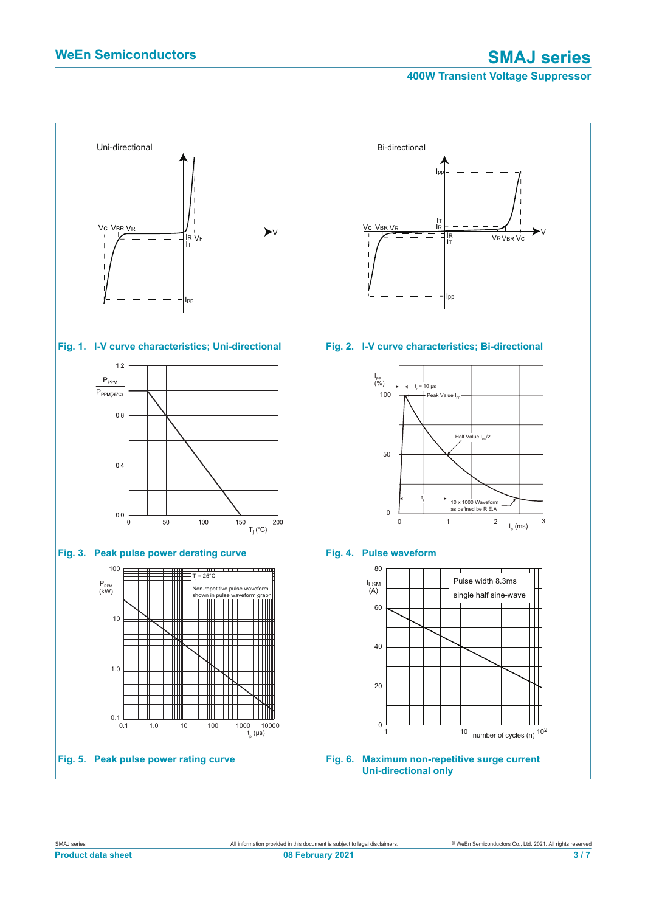**400W Transient Voltage Suppressor**

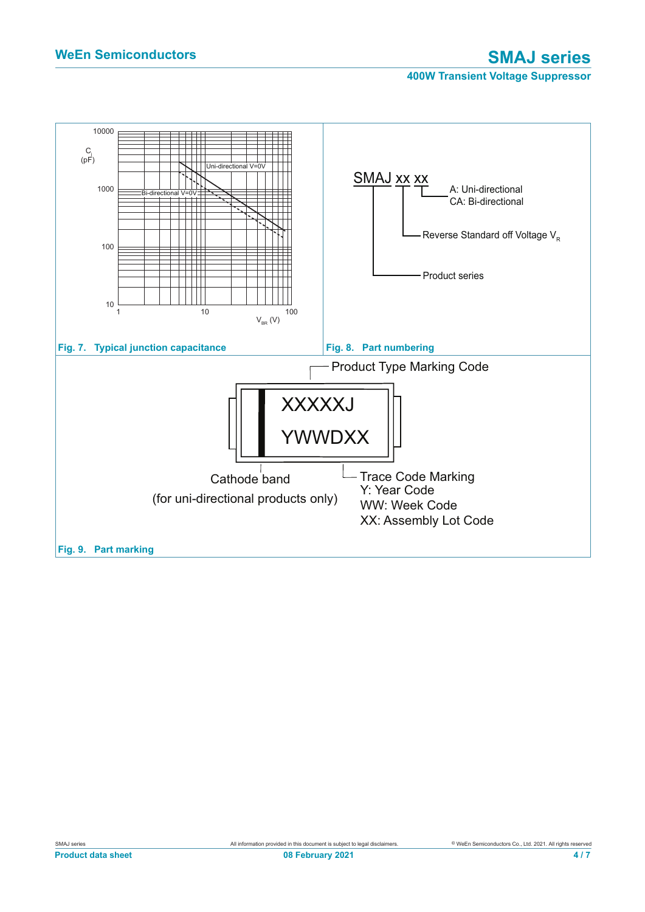### **400W Transient Voltage Suppressor**

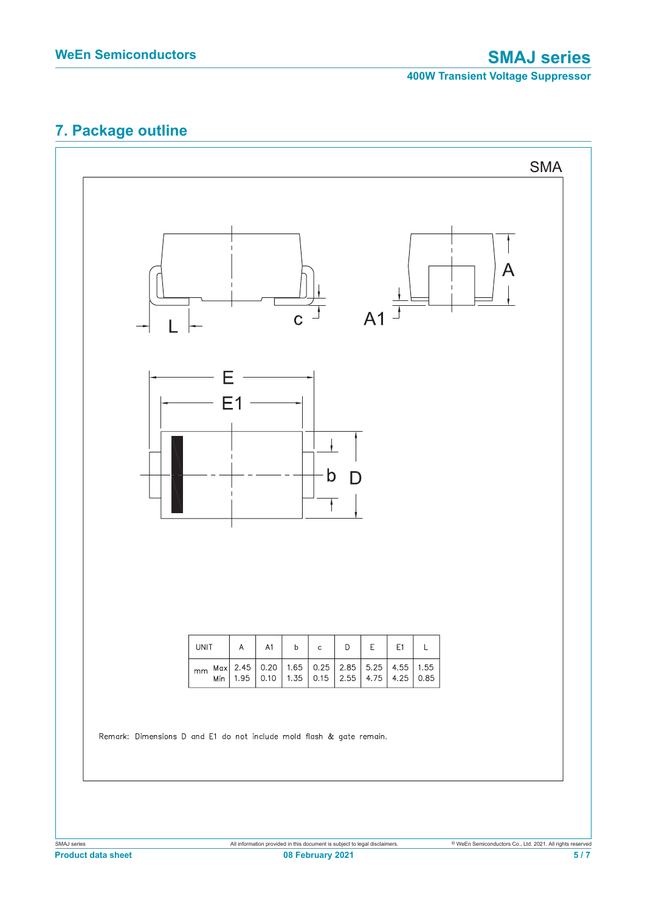# **7. Package outline**

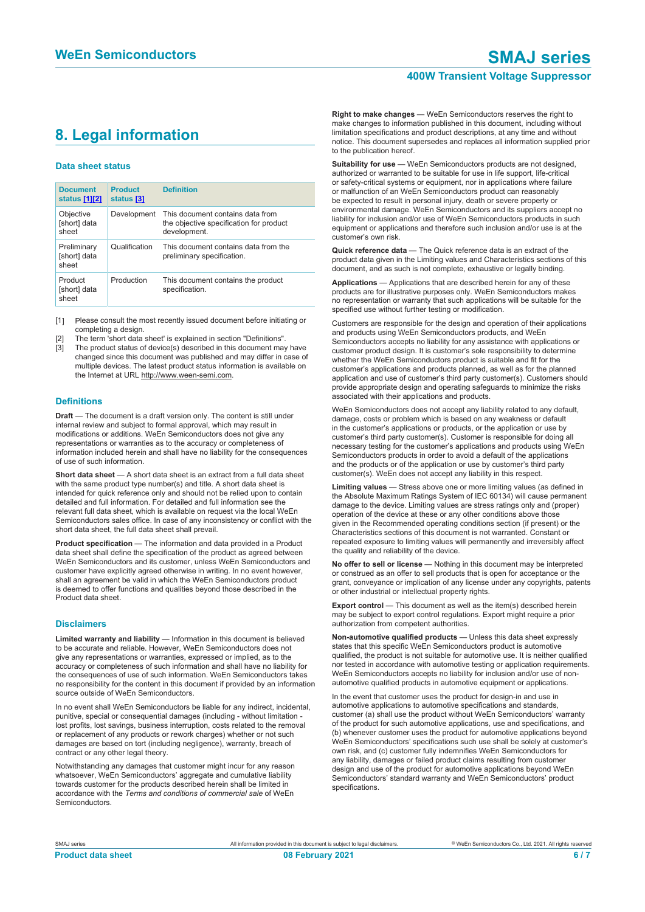### **400W Transient Voltage Suppressor**

# **8. Legal information**

#### **Data sheet status**

| <b>Document</b><br>status [1][2]     | <b>Product</b><br>status [3] | <b>Definition</b>                                                                           |
|--------------------------------------|------------------------------|---------------------------------------------------------------------------------------------|
| Objective<br>[short] data<br>sheet   | Development                  | This document contains data from<br>the objective specification for product<br>development. |
| Preliminary<br>[short] data<br>sheet | Qualification                | This document contains data from the<br>preliminary specification.                          |
| Product<br>[short] data<br>sheet     | Production                   | This document contains the product<br>specification.                                        |

[1] Please consult the most recently issued document before initiating or completing a design.

- [2] The term 'short data sheet' is explained in section "Definitions".
- The product status of device(s) described in this document may have changed since this document was published and may differ in case of multiple devices. The latest product status information is available on the Internet at URL http://www.ween-semi.com.

### **Definitions**

**Draft** — The document is a draft version only. The content is still under internal review and subject to formal approval, which may result in modifications or additions. WeEn Semiconductors does not give any representations or warranties as to the accuracy or completeness of information included herein and shall have no liability for the consequences of use of such information.

**Short data sheet** — A short data sheet is an extract from a full data sheet with the same product type number(s) and title. A short data sheet is intended for quick reference only and should not be relied upon to contain detailed and full information. For detailed and full information see the relevant full data sheet, which is available on request via the local WeEn Semiconductors sales office. In case of any inconsistency or conflict with the short data sheet, the full data sheet shall prevail.

**Product specification** — The information and data provided in a Product data sheet shall define the specification of the product as agreed between WeEn Semiconductors and its customer, unless WeEn Semiconductors and customer have explicitly agreed otherwise in writing. In no event however, shall an agreement be valid in which the WeEn Semiconductors product is deemed to offer functions and qualities beyond those described in the Product data sheet.

#### **Disclaimers**

**Limited warranty and liability** — Information in this document is believed to be accurate and reliable. However, WeEn Semiconductors does not give any representations or warranties, expressed or implied, as to the accuracy or completeness of such information and shall have no liability for the consequences of use of such information. WeEn Semiconductors takes no responsibility for the content in this document if provided by an information source outside of WeEn Semiconductors.

In no event shall WeEn Semiconductors be liable for any indirect, incidental, punitive, special or consequential damages (including - without limitation lost profits, lost savings, business interruption, costs related to the removal or replacement of any products or rework charges) whether or not such damages are based on tort (including negligence), warranty, breach of contract or any other legal theory.

Notwithstanding any damages that customer might incur for any reason whatsoever, WeEn Semiconductors' aggregate and cumulative liability towards customer for the products described herein shall be limited in accordance with the *Terms and conditions of commercial sale* of WeEn Semiconductors.

**Right to make changes** — WeEn Semiconductors reserves the right to make changes to information published in this document, including without limitation specifications and product descriptions, at any time and without notice. This document supersedes and replaces all information supplied prior to the publication hereof.

**Suitability for use** — WeEn Semiconductors products are not designed, authorized or warranted to be suitable for use in life support, life-critical or safety-critical systems or equipment, nor in applications where failure or malfunction of an WeEn Semiconductors product can reasonably be expected to result in personal injury, death or severe property or environmental damage. WeEn Semiconductors and its suppliers accept no liability for inclusion and/or use of WeEn Semiconductors products in such equipment or applications and therefore such inclusion and/or use is at the customer's own risk.

**Quick reference data** — The Quick reference data is an extract of the product data given in the Limiting values and Characteristics sections of this document, and as such is not complete, exhaustive or legally binding.

**Applications** — Applications that are described herein for any of these products are for illustrative purposes only. WeEn Semiconductors makes no representation or warranty that such applications will be suitable for the specified use without further testing or modification.

Customers are responsible for the design and operation of their applications and products using WeEn Semiconductors products, and WeEn Semiconductors accepts no liability for any assistance with applications or customer product design. It is customer's sole responsibility to determine whether the WeEn Semiconductors product is suitable and fit for the customer's applications and products planned, as well as for the planned application and use of customer's third party customer(s). Customers should provide appropriate design and operating safeguards to minimize the risks associated with their applications and products.

WeEn Semiconductors does not accept any liability related to any default, damage, costs or problem which is based on any weakness or default in the customer's applications or products, or the application or use by customer's third party customer(s). Customer is responsible for doing all necessary testing for the customer's applications and products using WeEn Semiconductors products in order to avoid a default of the applications and the products or of the application or use by customer's third party customer(s). WeEn does not accept any liability in this respect.

**Limiting values** — Stress above one or more limiting values (as defined in the Absolute Maximum Ratings System of IEC 60134) will cause permanent damage to the device. Limiting values are stress ratings only and (proper) operation of the device at these or any other conditions above those given in the Recommended operating conditions section (if present) or the Characteristics sections of this document is not warranted. Constant or repeated exposure to limiting values will permanently and irreversibly affect the quality and reliability of the device.

**No offer to sell or license** — Nothing in this document may be interpreted or construed as an offer to sell products that is open for acceptance or the grant, conveyance or implication of any license under any copyrights, patents or other industrial or intellectual property rights.

**Export control** — This document as well as the item(s) described herein may be subject to export control regulations. Export might require a prior authorization from competent authorities.

**Non-automotive qualified products** — Unless this data sheet expressly states that this specific WeEn Semiconductors product is automotive qualified, the product is not suitable for automotive use. It is neither qualified nor tested in accordance with automotive testing or application requirements. WeEn Semiconductors accepts no liability for inclusion and/or use of nonautomotive qualified products in automotive equipment or applications.

In the event that customer uses the product for design-in and use in automotive applications to automotive specifications and standards, customer (a) shall use the product without WeEn Semiconductors' warranty of the product for such automotive applications, use and specifications, and (b) whenever customer uses the product for automotive applications beyond WeEn Semiconductors' specifications such use shall be solely at customer's own risk, and (c) customer fully indemnifies WeEn Semiconductors for any liability, damages or failed product claims resulting from customer design and use of the product for automotive applications beyond WeEn Semiconductors' standard warranty and WeEn Semiconductors' product specifications.